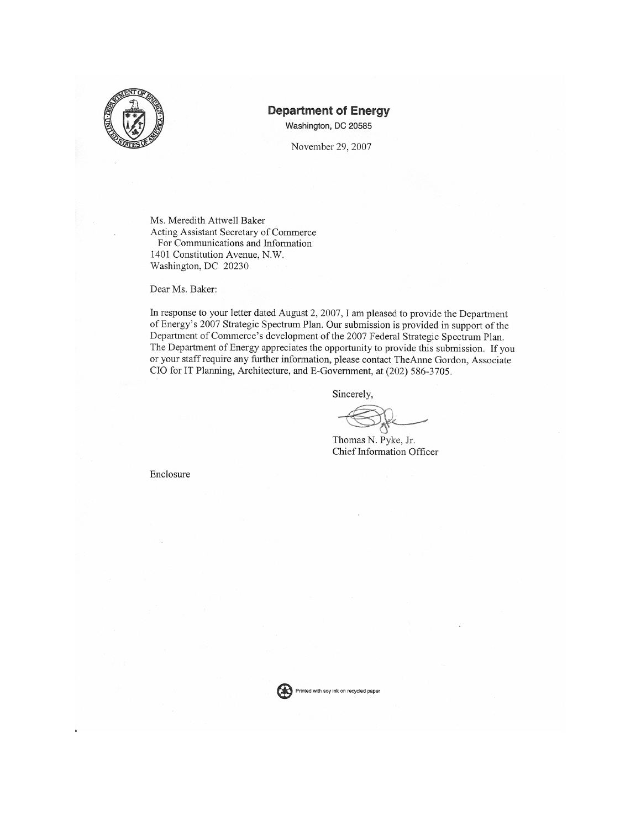

#### **Department of Energy**

Washington, DC 20585

November 29, 2007

Ms. Meredith Attwell Baker Acting Assistant Secretary of Commerce For Communications and Information 1401 Constitution Avenue, N.W. Washington, DC 20230

Dear Ms. Baker:

In response to your letter dated August 2, 2007, I am pleased to provide the Department of Energy's 2007 Strategic Spectrum Plan. Our submission is provided in support of the Department of Commerce's development of the 2007 Federal Strategic Spectrum Plan. The Department of Energy appreciates the opportunity to provide this submission. If you or your staff require any further information, please contact TheAnne Gordon, Associate CIO for IT Planning, Architecture, and E-Government, at (202) 586-3705.

Sincerely,

Thomas N. Pyke, Jr. Chief Information Officer

Enclosure

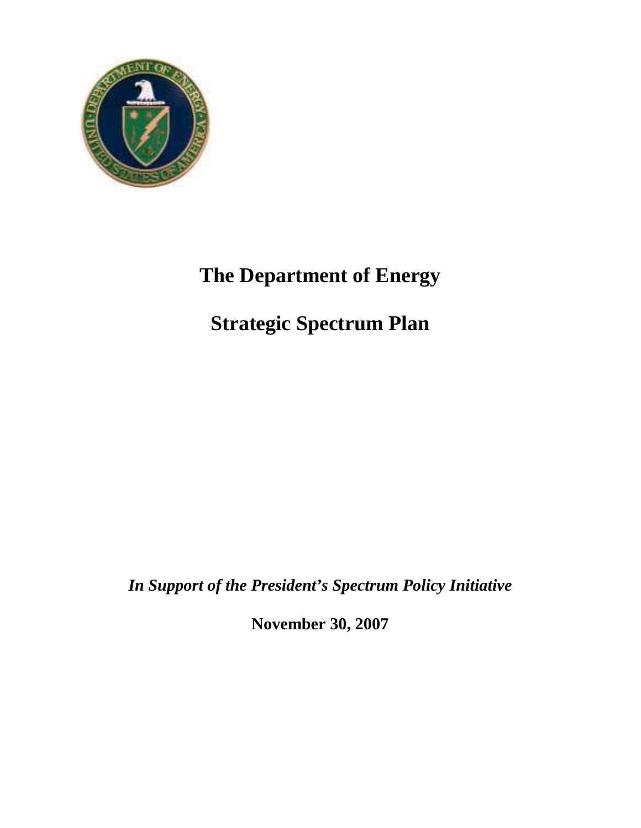

# **The Department of Energy**

# **Strategic Spectrum Plan**

*In Support of the President's Spectrum Policy Initiative*

**November 30, 2007**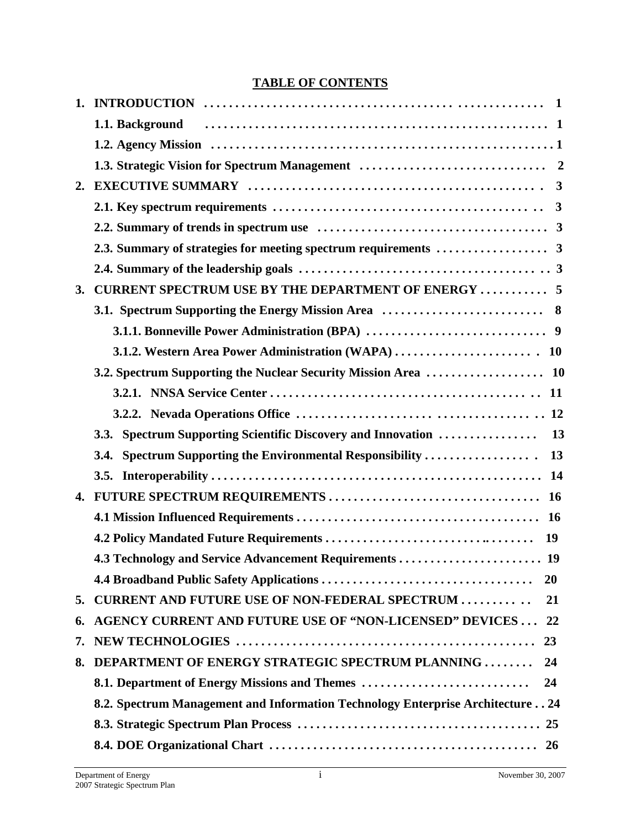# **TABLE OF CONTENTS**

|    | 3. CURRENT SPECTRUM USE BY THE DEPARTMENT OF ENERGY  5                         |
|----|--------------------------------------------------------------------------------|
|    |                                                                                |
|    |                                                                                |
|    |                                                                                |
|    |                                                                                |
|    |                                                                                |
|    |                                                                                |
|    | 3.3. Spectrum Supporting Scientific Discovery and Innovation<br>13             |
|    | 3.4. Spectrum Supporting the Environmental Responsibility<br>13                |
|    |                                                                                |
|    |                                                                                |
|    |                                                                                |
|    |                                                                                |
|    |                                                                                |
|    | <b>20</b>                                                                      |
| 5. | <b>CURRENT AND FUTURE USE OF NON-FEDERAL SPECTRUM </b><br>21                   |
| 6. | <b>AGENCY CURRENT AND FUTURE USE OF "NON-LICENSED" DEVICES  22</b>             |
| 7. |                                                                                |
| 8. | <b>DEPARTMENT OF ENERGY STRATEGIC SPECTRUM PLANNING </b><br>24                 |
|    | 8.1. Department of Energy Missions and Themes<br>24                            |
|    | 8.2. Spectrum Management and Information Technology Enterprise Architecture 24 |
|    |                                                                                |
|    |                                                                                |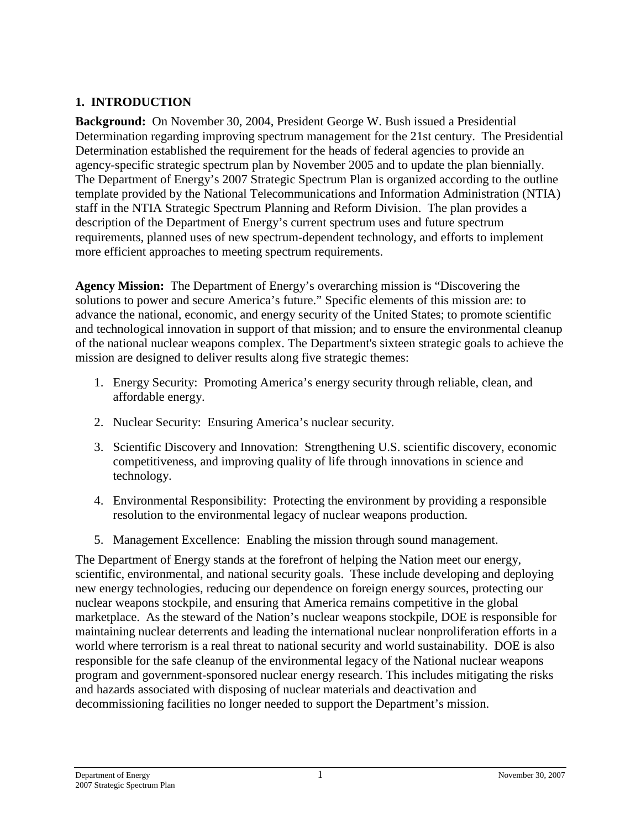## <span id="page-4-0"></span>**1. INTRODUCTION**

<span id="page-4-1"></span>**Background:** On November 30, 2004, President George W. Bush issued a Presidential Determination regarding improving spectrum management for the 21st century. The Presidential Determination established the requirement for the heads of federal agencies to provide an agency-specific strategic spectrum plan by November 2005 and to update the plan biennially. The Department of Energy's 2007 Strategic Spectrum Plan is organized according to the outline template provided by the National Telecommunications and Information Administration (NTIA) staff in the NTIA Strategic Spectrum Planning and Reform Division. The plan provides a description of the Department of Energy's current spectrum uses and future spectrum requirements, planned uses of new spectrum-dependent technology, and efforts to implement more efficient approaches to meeting spectrum requirements.

<span id="page-4-2"></span>**Agency Mission:** The Department of Energy's overarching mission is "Discovering the solutions to power and secure America's future." Specific elements of this mission are: to advance the national, economic, and energy security of the United States; to promote scientific and technological innovation in support of that mission; and to ensure the environmental cleanup of the national nuclear weapons complex. The Department's sixteen strategic goals to achieve the mission are designed to deliver results along five strategic themes:

- 1. Energy Security: Promoting America's energy security through reliable, clean, and affordable energy.
- 2. Nuclear Security: Ensuring America's nuclear security.
- 3. Scientific Discovery and Innovation: Strengthening U.S. scientific discovery, economic competitiveness, and improving quality of life through innovations in science and technology.
- 4. Environmental Responsibility: Protecting the environment by providing a responsible resolution to the environmental legacy of nuclear weapons production.
- 5. Management Excellence: Enabling the mission through sound management.

The Department of Energy stands at the forefront of helping the Nation meet our energy, scientific, environmental, and national security goals. These include developing and deploying new energy technologies, reducing our dependence on foreign energy sources, protecting our nuclear weapons stockpile, and ensuring that America remains competitive in the global marketplace. As the steward of the Nation's nuclear weapons stockpile, DOE is responsible for maintaining nuclear deterrents and leading the international nuclear nonproliferation efforts in a world where terrorism is a real threat to national security and world sustainability. DOE is also responsible for the safe cleanup of the environmental legacy of the National nuclear weapons program and government-sponsored nuclear energy research. This includes mitigating the risks and hazards associated with disposing of nuclear materials and deactivation and decommissioning facilities no longer needed to support the Department's mission.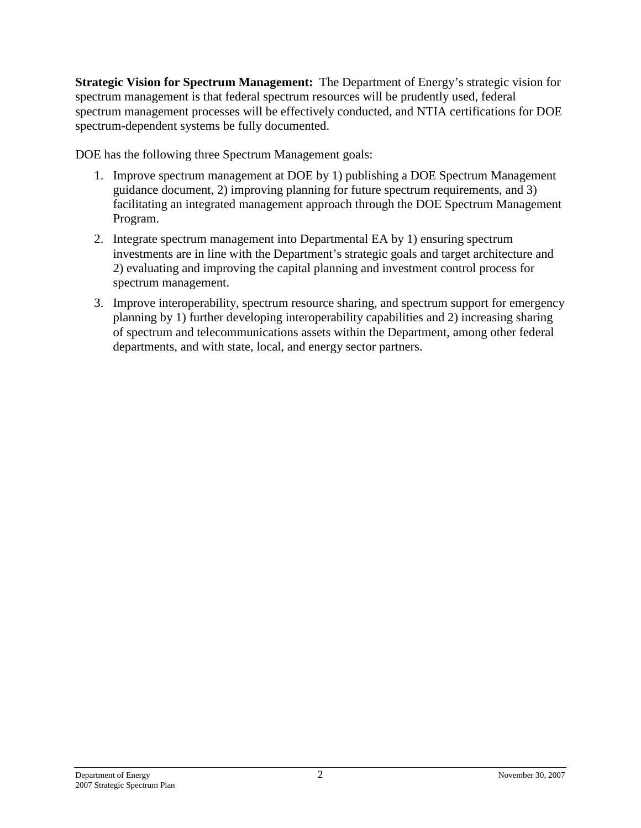<span id="page-5-0"></span>**Strategic Vision for Spectrum Management:** The Department of Energy's strategic vision for spectrum management is that federal spectrum resources will be prudently used, federal spectrum management processes will be effectively conducted, and NTIA certifications for DOE spectrum-dependent systems be fully documented.

DOE has the following three Spectrum Management goals:

- 1. Improve spectrum management at DOE by 1) publishing a DOE Spectrum Management guidance document, 2) improving planning for future spectrum requirements, and 3) facilitating an integrated management approach through the DOE Spectrum Management Program.
- 2. Integrate spectrum management into Departmental EA by 1) ensuring spectrum investments are in line with the Department's strategic goals and target architecture and 2) evaluating and improving the capital planning and investment control process for spectrum management.
- 3. Improve interoperability, spectrum resource sharing, and spectrum support for emergency planning by 1) further developing interoperability capabilities and 2) increasing sharing of spectrum and telecommunications assets within the Department, among other federal departments, and with state, local, and energy sector partners.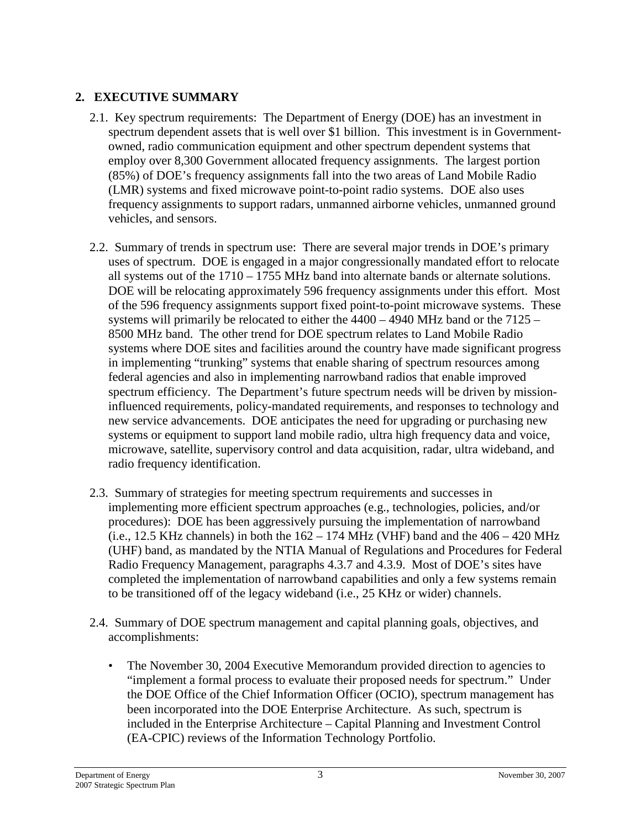## <span id="page-6-0"></span>**2. EXECUTIVE SUMMARY**

- <span id="page-6-1"></span>2.1. Key spectrum requirements: The Department of Energy (DOE) has an investment in spectrum dependent assets that is well over \$1 billion. This investment is in Governmentowned, radio communication equipment and other spectrum dependent systems that employ over 8,300 Government allocated frequency assignments. The largest portion (85%) of DOE's frequency assignments fall into the two areas of Land Mobile Radio (LMR) systems and fixed microwave point-to-point radio systems. DOE also uses frequency assignments to support radars, unmanned airborne vehicles, unmanned ground vehicles, and sensors.
- <span id="page-6-2"></span>2.2. Summary of trends in spectrum use: There are several major trends in DOE's primary uses of spectrum. DOE is engaged in a major congressionally mandated effort to relocate all systems out of the 1710 – 1755 MHz band into alternate bands or alternate solutions. DOE will be relocating approximately 596 frequency assignments under this effort. Most of the 596 frequency assignments support fixed point-to-point microwave systems. These systems will primarily be relocated to either the 4400 – 4940 MHz band or the 7125 – 8500 MHz band. The other trend for DOE spectrum relates to Land Mobile Radio systems where DOE sites and facilities around the country have made significant progress in implementing "trunking" systems that enable sharing of spectrum resources among federal agencies and also in implementing narrowband radios that enable improved spectrum efficiency. The Department's future spectrum needs will be driven by missioninfluenced requirements, policy-mandated requirements, and responses to technology and new service advancements. DOE anticipates the need for upgrading or purchasing new systems or equipment to support land mobile radio, ultra high frequency data and voice, microwave, satellite, supervisory control and data acquisition, radar, ultra wideband, and radio frequency identification.
- <span id="page-6-3"></span>2.3. Summary of strategies for meeting spectrum requirements and successes in implementing more efficient spectrum approaches (e.g., technologies, policies, and/or procedures): DOE has been aggressively pursuing the implementation of narrowband (i.e., 12.5 KHz channels) in both the  $162 - 174$  MHz (VHF) band and the  $406 - 420$  MHz (UHF) band, as mandated by the NTIA Manual of Regulations and Procedures for Federal Radio Frequency Management, paragraphs 4.3.7 and 4.3.9. Most of DOE's sites have completed the implementation of narrowband capabilities and only a few systems remain to be transitioned off of the legacy wideband (i.e., 25 KHz or wider) channels.
- <span id="page-6-4"></span>2.4. Summary of DOE spectrum management and capital planning goals, objectives, and accomplishments:
	- The November 30, 2004 Executive Memorandum provided direction to agencies to "implement a formal process to evaluate their proposed needs for spectrum." Under the DOE Office of the Chief Information Officer (OCIO), spectrum management has been incorporated into the DOE Enterprise Architecture. As such, spectrum is included in the Enterprise Architecture – Capital Planning and Investment Control (EA-CPIC) reviews of the Information Technology Portfolio.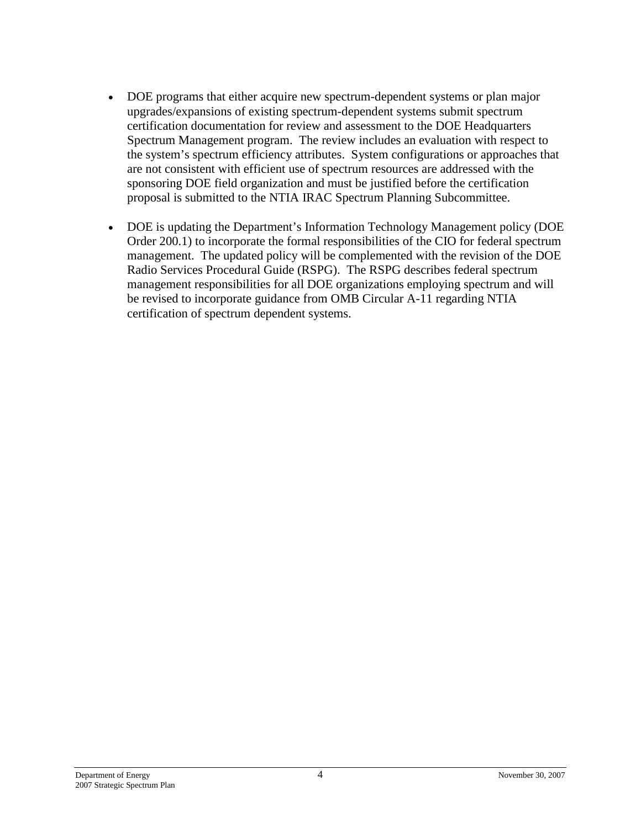- DOE programs that either acquire new spectrum-dependent systems or plan major upgrades/expansions of existing spectrum-dependent systems submit spectrum certification documentation for review and assessment to the DOE Headquarters Spectrum Management program. The review includes an evaluation with respect to the system's spectrum efficiency attributes. System configurations or approaches that are not consistent with efficient use of spectrum resources are addressed with the sponsoring DOE field organization and must be justified before the certification proposal is submitted to the NTIA IRAC Spectrum Planning Subcommittee.
- DOE is updating the Department's Information Technology Management policy (DOE Order 200.1) to incorporate the formal responsibilities of the CIO for federal spectrum management. The updated policy will be complemented with the revision of the DOE Radio Services Procedural Guide (RSPG). The RSPG describes federal spectrum management responsibilities for all DOE organizations employing spectrum and will be revised to incorporate guidance from OMB Circular A-11 regarding NTIA certification of spectrum dependent systems.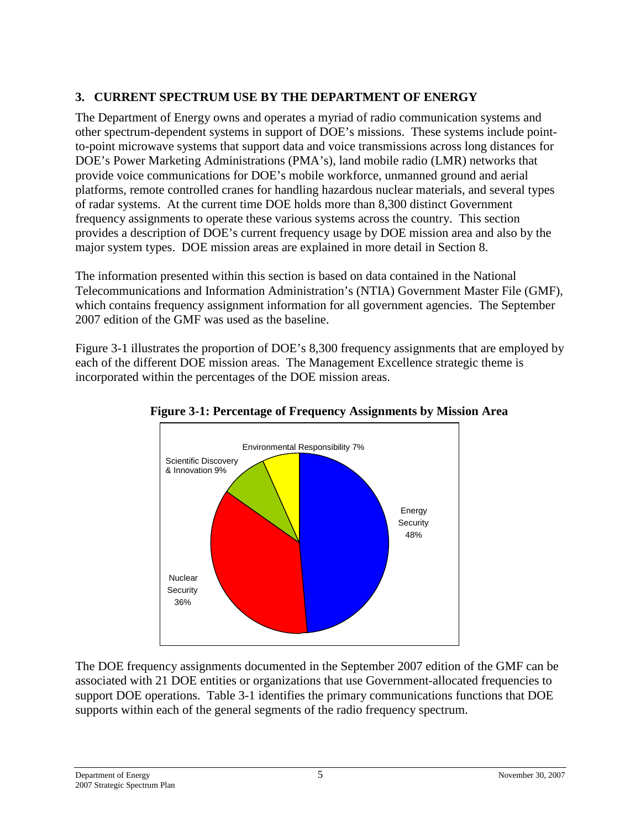# <span id="page-8-0"></span>**3. CURRENT SPECTRUM USE BY THE DEPARTMENT OF ENERGY**

The Department of Energy owns and operates a myriad of radio communication systems and other spectrum-dependent systems in support of DOE's missions. These systems include pointto-point microwave systems that support data and voice transmissions across long distances for DOE's Power Marketing Administrations (PMA's), land mobile radio (LMR) networks that provide voice communications for DOE's mobile workforce, unmanned ground and aerial platforms, remote controlled cranes for handling hazardous nuclear materials, and several types of radar systems. At the current time DOE holds more than 8,300 distinct Government frequency assignments to operate these various systems across the country. This section provides a description of DOE's current frequency usage by DOE mission area and also by the major system types. DOE mission areas are explained in more detail in Section 8.

The information presented within this section is based on data contained in the National Telecommunications and Information Administration's (NTIA) Government Master File (GMF), which contains frequency assignment information for all government agencies. The September 2007 edition of the GMF was used as the baseline.

Figure 3-1 illustrates the proportion of DOE's 8,300 frequency assignments that are employed by each of the different DOE mission areas. The Management Excellence strategic theme is incorporated within the percentages of the DOE mission areas.



## **Figure 3-1: Percentage of Frequency Assignments by Mission Area**

The DOE frequency assignments documented in the September 2007 edition of the GMF can be associated with 21 DOE entities or organizations that use Government-allocated frequencies to support DOE operations. Table 3-1 identifies the primary communications functions that DOE supports within each of the general segments of the radio frequency spectrum.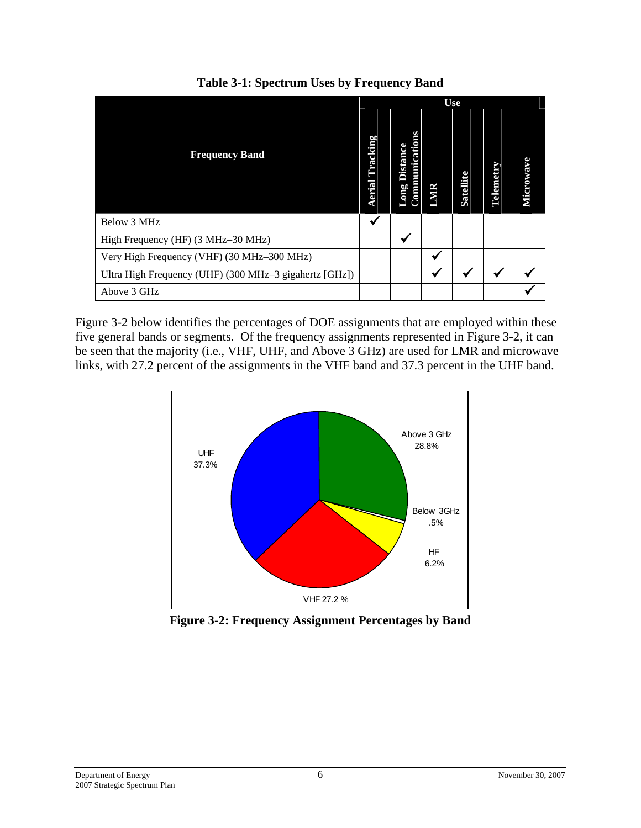| <b>Frequency Band</b>                                  |  | <b>Use</b>                                |             |           |                  |           |  |  |
|--------------------------------------------------------|--|-------------------------------------------|-------------|-----------|------------------|-----------|--|--|
|                                                        |  | Communications<br><b>Distance</b><br>Long | <b>LMIR</b> | Satellite | <b>Telemetry</b> | Microwave |  |  |
| Below 3 MHz                                            |  |                                           |             |           |                  |           |  |  |
| High Frequency (HF) (3 MHz-30 MHz)                     |  |                                           |             |           |                  |           |  |  |
| Very High Frequency (VHF) (30 MHz-300 MHz)             |  |                                           |             |           |                  |           |  |  |
| Ultra High Frequency (UHF) (300 MHz-3 gigahertz [GHz]) |  |                                           |             |           |                  |           |  |  |
| Above 3 GHz                                            |  |                                           |             |           |                  |           |  |  |

**Table 3-1: Spectrum Uses by Frequency Band**

Figure 3-2 below identifies the percentages of DOE assignments that are employed within these five general bands or segments. Of the frequency assignments represented in Figure 3-2, it can be seen that the majority (i.e., VHF, UHF, and Above 3 GHz) are used for LMR and microwave links, with 27.2 percent of the assignments in the VHF band and 37.3 percent in the UHF band.



**Figure 3-2: Frequency Assignment Percentages by Band**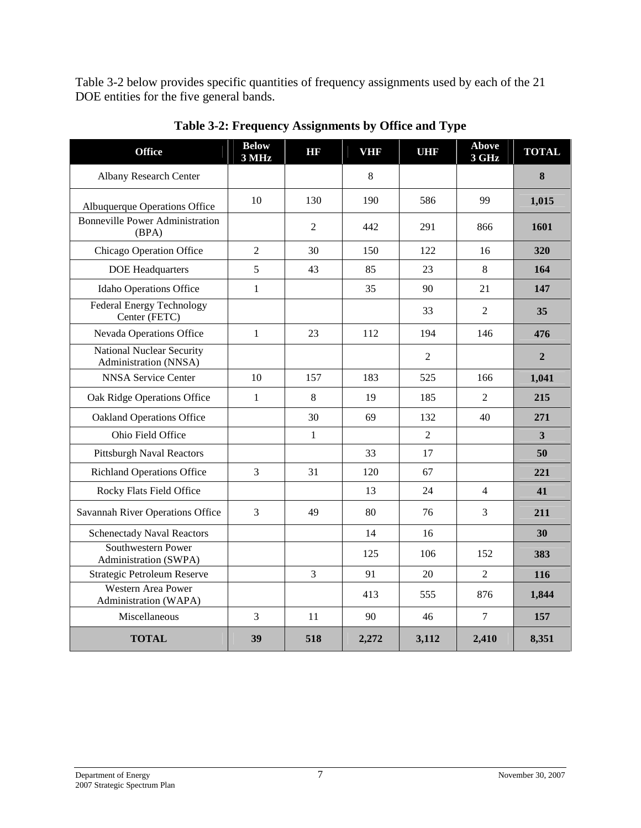Table 3-2 below provides specific quantities of frequency assignments used by each of the 21 DOE entities for the five general bands.

| <b>Office</b>                                      | <b>Below</b><br>3 MHz | HR             | <b>VHF</b> | UHR            | <b>Above</b><br>3 GHz | <b>TOTAL</b>   |
|----------------------------------------------------|-----------------------|----------------|------------|----------------|-----------------------|----------------|
| <b>Albany Research Center</b>                      |                       |                | 8          |                |                       | 8              |
| Albuquerque Operations Office                      | 10                    | 130            | 190        | 586            | 99                    | 1,015          |
| <b>Bonneville Power Administration</b><br>(BPA)    |                       | $\overline{2}$ | 442        | 291            | 866                   | 1601           |
| Chicago Operation Office                           | $\overline{2}$        | 30             | 150        | 122            | 16                    | 320            |
| <b>DOE</b> Headquarters                            | 5                     | 43             | 85         | 23             | 8                     | 164            |
| Idaho Operations Office                            | $\mathbf{1}$          |                | 35         | 90             | 21                    | 147            |
| <b>Federal Energy Technology</b><br>Center (FETC)  |                       |                |            | 33             | $\overline{2}$        | 35             |
| Nevada Operations Office                           | $\mathbf{1}$          | 23             | 112        | 194            | 146                   | 476            |
| National Nuclear Security<br>Administration (NNSA) |                       |                |            | $\overline{2}$ |                       | $\overline{2}$ |
| <b>NNSA Service Center</b>                         | 10                    | 157            | 183        | 525            | 166                   | 1,041          |
| Oak Ridge Operations Office                        | $\mathbf{1}$          | 8              | 19         | 185            | $\overline{2}$        | 215            |
| <b>Oakland Operations Office</b>                   |                       | 30             | 69         | 132            | 40                    | 271            |
| Ohio Field Office                                  |                       | $\mathbf{1}$   |            | $\overline{2}$ |                       | 3              |
| <b>Pittsburgh Naval Reactors</b>                   |                       |                | 33         | 17             |                       | 50             |
| <b>Richland Operations Office</b>                  | 3                     | 31             | 120        | 67             |                       | 221            |
| Rocky Flats Field Office                           |                       |                | 13         | 24             | $\overline{4}$        | 41             |
| Savannah River Operations Office                   | 3                     | 49             | 80         | 76             | 3                     | 211            |
| <b>Schenectady Naval Reactors</b>                  |                       |                | 14         | 16             |                       | 30             |
| Southwestern Power<br>Administration (SWPA)        |                       |                | 125        | 106            | 152                   | 383            |
| Strategic Petroleum Reserve                        |                       | 3              | 91         | 20             | $\overline{2}$        | 116            |
| Western Area Power<br>Administration (WAPA)        |                       |                | 413        | 555            | 876                   | 1,844          |
| Miscellaneous                                      | 3                     | 11             | 90         | 46             | $\overline{7}$        | 157            |
| <b>TOTAL</b>                                       | 39                    | 518            | 2,272      | 3,112          | 2,410                 | 8,351          |

**Table 3-2: Frequency Assignments by Office and Type**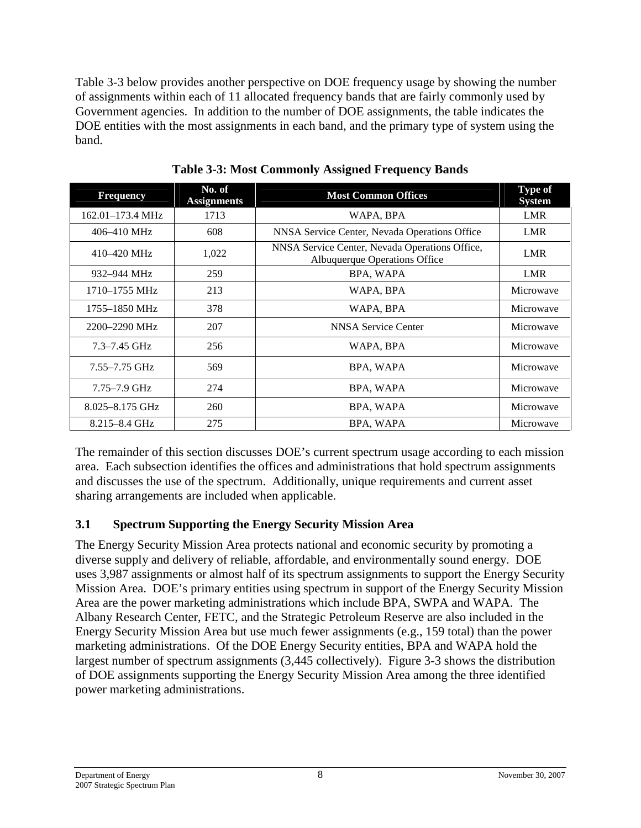Table 3-3 below provides another perspective on DOE frequency usage by showing the number of assignments within each of 11 allocated frequency bands that are fairly commonly used by Government agencies. In addition to the number of DOE assignments, the table indicates the DOE entities with the most assignments in each band, and the primary type of system using the band.

| <b>Frequency</b>  | No. of<br><b>Assignments</b> | <b>Most Common Offices</b>                                                      | <b>Type of</b><br><b>System</b> |
|-------------------|------------------------------|---------------------------------------------------------------------------------|---------------------------------|
| 162.01-173.4 MHz  | 1713                         | WAPA, BPA                                                                       | <b>LMR</b>                      |
| 406–410 MHz       | 608                          | NNSA Service Center, Nevada Operations Office                                   | LMR                             |
| 410-420 MHz       | 1,022                        | NNSA Service Center, Nevada Operations Office,<br>Albuquerque Operations Office | <b>LMR</b>                      |
| 932–944 MHz       | 259                          | BPA, WAPA                                                                       | LMR                             |
| 1710–1755 MHz     | 213                          | WAPA, BPA                                                                       | Microwave                       |
| 1755–1850 MHz     | 378                          | WAPA, BPA                                                                       | Microwave                       |
| 2200–2290 MHz     | 207                          | NNSA Service Center                                                             | Microwave                       |
| $7.3 - 7.45$ GHz  | 256                          | WAPA, BPA                                                                       | Microwave                       |
| $7.55 - 7.75$ GHz | 569                          | BPA, WAPA                                                                       | Microwave                       |
| $7.75 - 7.9$ GHz  | 274                          | BPA, WAPA                                                                       | Microwave                       |
| 8.025-8.175 GHz   | 260                          | BPA, WAPA                                                                       | Microwave                       |
| $8.215 - 8.4$ GHz | 275                          | BPA, WAPA                                                                       | Microwave                       |

**Table 3-3: Most Commonly Assigned Frequency Bands**

The remainder of this section discusses DOE's current spectrum usage according to each mission area. Each subsection identifies the offices and administrations that hold spectrum assignments and discusses the use of the spectrum. Additionally, unique requirements and current asset sharing arrangements are included when applicable.

# <span id="page-11-0"></span>**3.1 Spectrum Supporting the Energy Security Mission Area**

The Energy Security Mission Area protects national and economic security by promoting a diverse supply and delivery of reliable, affordable, and environmentally sound energy. DOE uses 3,987 assignments or almost half of its spectrum assignments to support the Energy Security Mission Area. DOE's primary entities using spectrum in support of the Energy Security Mission Area are the power marketing administrations which include BPA, SWPA and WAPA. The Albany Research Center, FETC, and the Strategic Petroleum Reserve are also included in the Energy Security Mission Area but use much fewer assignments (e.g., 159 total) than the power marketing administrations. Of the DOE Energy Security entities, BPA and WAPA hold the largest number of spectrum assignments (3,445 collectively). Figure 3-3 shows the distribution of DOE assignments supporting the Energy Security Mission Area among the three identified power marketing administrations.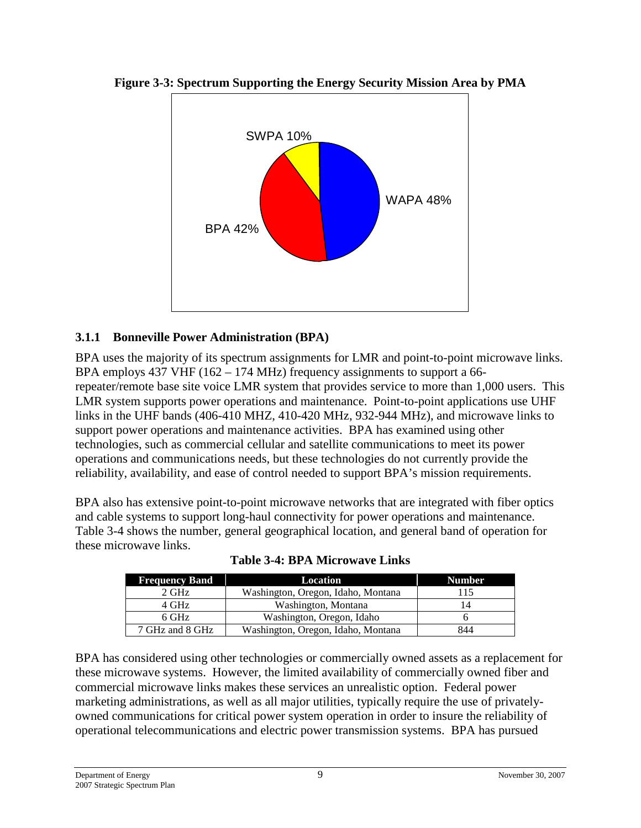

**Figure 3-3: Spectrum Supporting the Energy Security Mission Area by PMA**

## <span id="page-12-0"></span>**3.1.1 Bonneville Power Administration (BPA)**

BPA uses the majority of its spectrum assignments for LMR and point-to-point microwave links. BPA employs  $437$  VHF ( $162 - 174$  MHz) frequency assignments to support a 66repeater/remote base site voice LMR system that provides service to more than 1,000 users. This LMR system supports power operations and maintenance. Point-to-point applications use UHF links in the UHF bands (406-410 MHZ, 410-420 MHz, 932-944 MHz), and microwave links to support power operations and maintenance activities. BPA has examined using other technologies, such as commercial cellular and satellite communications to meet its power operations and communications needs, but these technologies do not currently provide the reliability, availability, and ease of control needed to support BPA's mission requirements.

BPA also has extensive point-to-point microwave networks that are integrated with fiber optics and cable systems to support long-haul connectivity for power operations and maintenance. Table 3-4 shows the number, general geographical location, and general band of operation for these microwave links.

| <b>Frequency Band</b> | Location                           | <b>Number</b> |
|-----------------------|------------------------------------|---------------|
| 2 GHz                 | Washington, Oregon, Idaho, Montana | 115           |
| 4 GHz                 | Washington, Montana                | 14            |
| 6 GHz                 | Washington, Oregon, Idaho          |               |
| 7 GHz and 8 GHz       | Washington, Oregon, Idaho, Montana | 844           |

**Table 3-4: BPA Microwave Links**

BPA has considered using other technologies or commercially owned assets as a replacement for these microwave systems. However, the limited availability of commercially owned fiber and commercial microwave links makes these services an unrealistic option. Federal power marketing administrations, as well as all major utilities, typically require the use of privatelyowned communications for critical power system operation in order to insure the reliability of operational telecommunications and electric power transmission systems. BPA has pursued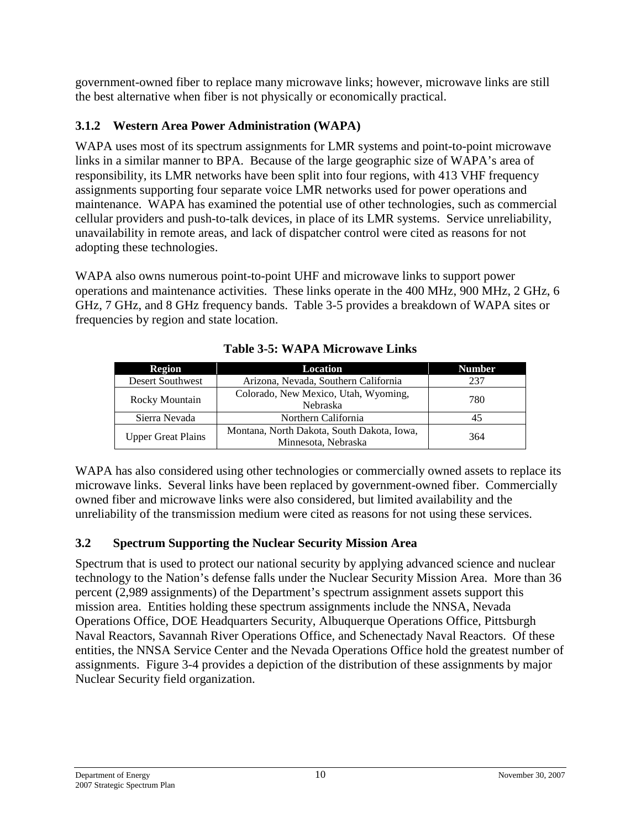government-owned fiber to replace many microwave links; however, microwave links are still the best alternative when fiber is not physically or economically practical.

# <span id="page-13-0"></span>**3.1.2 Western Area Power Administration (WAPA)**

WAPA uses most of its spectrum assignments for LMR systems and point-to-point microwave links in a similar manner to BPA. Because of the large geographic size of WAPA's area of responsibility, its LMR networks have been split into four regions, with 413 VHF frequency assignments supporting four separate voice LMR networks used for power operations and maintenance. WAPA has examined the potential use of other technologies, such as commercial cellular providers and push-to-talk devices, in place of its LMR systems. Service unreliability, unavailability in remote areas, and lack of dispatcher control were cited as reasons for not adopting these technologies.

WAPA also owns numerous point-to-point UHF and microwave links to support power operations and maintenance activities. These links operate in the 400 MHz, 900 MHz, 2 GHz, 6 GHz, 7 GHz, and 8 GHz frequency bands. Table 3-5 provides a breakdown of WAPA sites or frequencies by region and state location.

| Region<br>Location        |                                                                   | <b>Number</b> |
|---------------------------|-------------------------------------------------------------------|---------------|
| <b>Desert Southwest</b>   | Arizona, Nevada, Southern California                              | 237           |
| Rocky Mountain            | Colorado, New Mexico, Utah, Wyoming,<br><b>Nebraska</b>           | 780           |
| Sierra Nevada             | Northern California                                               | 45            |
| <b>Upper Great Plains</b> | Montana, North Dakota, South Dakota, Iowa,<br>Minnesota, Nebraska | 364           |

**Table 3-5: WAPA Microwave Links**

WAPA has also considered using other technologies or commercially owned assets to replace its microwave links. Several links have been replaced by government-owned fiber. Commercially owned fiber and microwave links were also considered, but limited availability and the unreliability of the transmission medium were cited as reasons for not using these services.

# <span id="page-13-1"></span>**3.2 Spectrum Supporting the Nuclear Security Mission Area**

Spectrum that is used to protect our national security by applying advanced science and nuclear technology to the Nation's defense falls under the Nuclear Security Mission Area. More than 36 percent (2,989 assignments) of the Department's spectrum assignment assets support this mission area. Entities holding these spectrum assignments include the NNSA, Nevada Operations Office, DOE Headquarters Security, Albuquerque Operations Office, Pittsburgh Naval Reactors, Savannah River Operations Office, and Schenectady Naval Reactors. Of these entities, the NNSA Service Center and the Nevada Operations Office hold the greatest number of assignments. Figure 3-4 provides a depiction of the distribution of these assignments by major Nuclear Security field organization.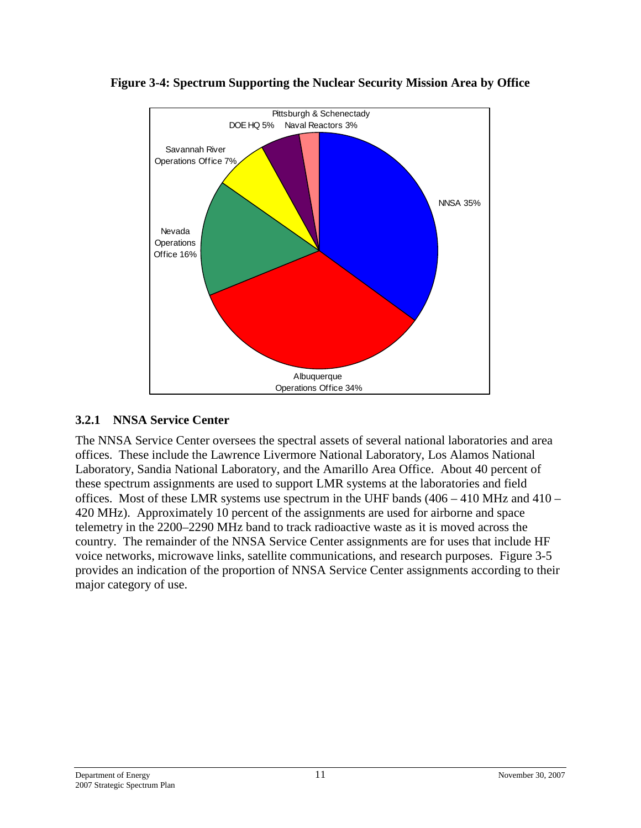

#### **Figure 3-4: Spectrum Supporting the Nuclear Security Mission Area by Office**

#### <span id="page-14-0"></span>**3.2.1 NNSA Service Center**

The NNSA Service Center oversees the spectral assets of several national laboratories and area offices. These include the Lawrence Livermore National Laboratory, Los Alamos National Laboratory, Sandia National Laboratory, and the Amarillo Area Office. About 40 percent of these spectrum assignments are used to support LMR systems at the laboratories and field offices. Most of these LMR systems use spectrum in the UHF bands  $(406 - 410 \text{ MHz and } 410 -$ 420 MHz). Approximately 10 percent of the assignments are used for airborne and space telemetry in the 2200–2290 MHz band to track radioactive waste as it is moved across the country. The remainder of the NNSA Service Center assignments are for uses that include HF voice networks, microwave links, satellite communications, and research purposes. Figure 3-5 provides an indication of the proportion of NNSA Service Center assignments according to their major category of use.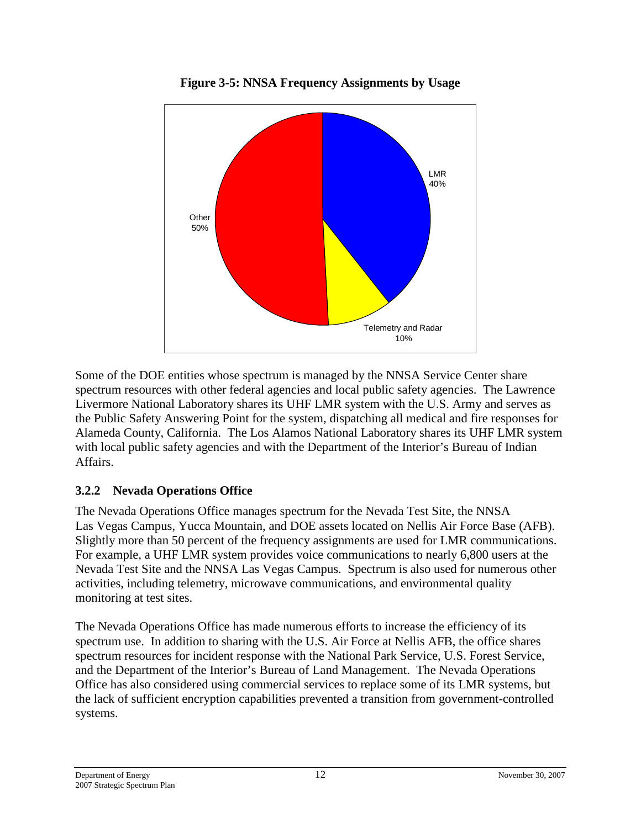

**Figure 3-5: NNSA Frequency Assignments by Usage**

Some of the DOE entities whose spectrum is managed by the NNSA Service Center share spectrum resources with other federal agencies and local public safety agencies. The Lawrence Livermore National Laboratory shares its UHF LMR system with the U.S. Army and serves as the Public Safety Answering Point for the system, dispatching all medical and fire responses for Alameda County, California. The Los Alamos National Laboratory shares its UHF LMR system with local public safety agencies and with the Department of the Interior's Bureau of Indian Affairs.

# <span id="page-15-0"></span>**3.2.2 Nevada Operations Office**

The Nevada Operations Office manages spectrum for the Nevada Test Site, the NNSA Las Vegas Campus, Yucca Mountain, and DOE assets located on Nellis Air Force Base (AFB). Slightly more than 50 percent of the frequency assignments are used for LMR communications. For example, a UHF LMR system provides voice communications to nearly 6,800 users at the Nevada Test Site and the NNSA Las Vegas Campus. Spectrum is also used for numerous other activities, including telemetry, microwave communications, and environmental quality monitoring at test sites.

The Nevada Operations Office has made numerous efforts to increase the efficiency of its spectrum use. In addition to sharing with the U.S. Air Force at Nellis AFB, the office shares spectrum resources for incident response with the National Park Service, U.S. Forest Service, and the Department of the Interior's Bureau of Land Management. The Nevada Operations Office has also considered using commercial services to replace some of its LMR systems, but the lack of sufficient encryption capabilities prevented a transition from government-controlled systems.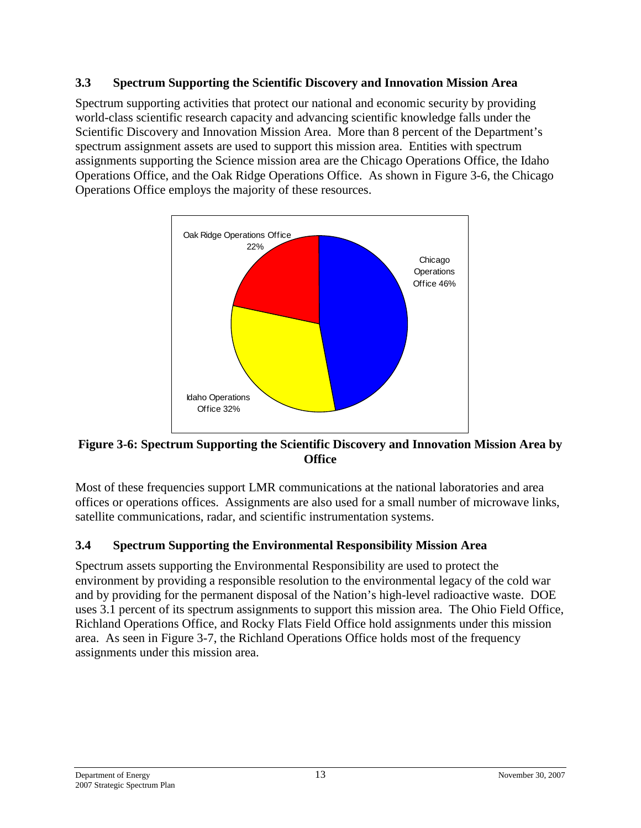#### <span id="page-16-0"></span>**3.3 Spectrum Supporting the Scientific Discovery and Innovation Mission Area**

Spectrum supporting activities that protect our national and economic security by providing world-class scientific research capacity and advancing scientific knowledge falls under the Scientific Discovery and Innovation Mission Area. More than 8 percent of the Department's spectrum assignment assets are used to support this mission area. Entities with spectrum assignments supporting the Science mission area are the Chicago Operations Office, the Idaho Operations Office, and the Oak Ridge Operations Office. As shown in Figure 3-6, the Chicago Operations Office employs the majority of these resources.



#### **Figure 3-6: Spectrum Supporting the Scientific Discovery and Innovation Mission Area by Office**

Most of these frequencies support LMR communications at the national laboratories and area offices or operations offices. Assignments are also used for a small number of microwave links, satellite communications, radar, and scientific instrumentation systems.

# <span id="page-16-1"></span>**3.4 Spectrum Supporting the Environmental Responsibility Mission Area**

Spectrum assets supporting the Environmental Responsibility are used to protect the environment by providing a responsible resolution to the environmental legacy of the cold war and by providing for the permanent disposal of the Nation's high-level radioactive waste. DOE uses 3.1 percent of its spectrum assignments to support this mission area. The Ohio Field Office, Richland Operations Office, and Rocky Flats Field Office hold assignments under this mission area. As seen in Figure 3-7, the Richland Operations Office holds most of the frequency assignments under this mission area.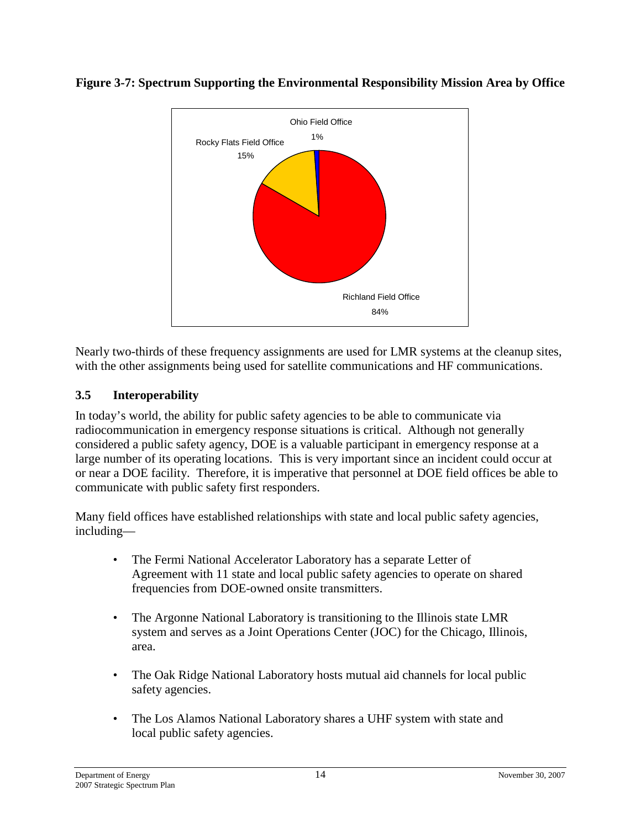

#### **Figure 3-7: Spectrum Supporting the Environmental Responsibility Mission Area by Office**

Nearly two-thirds of these frequency assignments are used for LMR systems at the cleanup sites, with the other assignments being used for satellite communications and HF communications.

## <span id="page-17-0"></span>**3.5 Interoperability**

In today's world, the ability for public safety agencies to be able to communicate via radiocommunication in emergency response situations is critical. Although not generally considered a public safety agency, DOE is a valuable participant in emergency response at a large number of its operating locations. This is very important since an incident could occur at or near a DOE facility. Therefore, it is imperative that personnel at DOE field offices be able to communicate with public safety first responders.

Many field offices have established relationships with state and local public safety agencies, including—

- The Fermi National Accelerator Laboratory has a separate Letter of Agreement with 11 state and local public safety agencies to operate on shared frequencies from DOE-owned onsite transmitters.
- The Argonne National Laboratory is transitioning to the Illinois state LMR system and serves as a Joint Operations Center (JOC) for the Chicago, Illinois, area.
- The Oak Ridge National Laboratory hosts mutual aid channels for local public safety agencies.
- The Los Alamos National Laboratory shares a UHF system with state and local public safety agencies.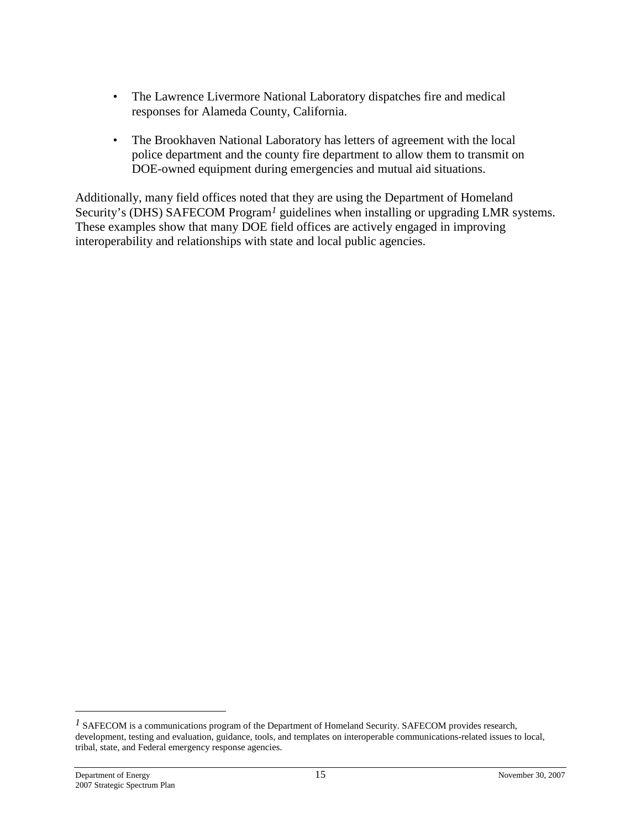- The Lawrence Livermore National Laboratory dispatches fire and medical responses for Alameda County, California.
- The Brookhaven National Laboratory has letters of agreement with the local police department and the county fire department to allow them to transmit on DOE-owned equipment during emergencies and mutual aid situations.

Additionally, many field offices noted that they are using the Department of Homeland Security's (DHS) SAFECOM Program<sup>[1](#page-18-0)</sup> guidelines when installing or upgrading LMR systems. These examples show that many DOE field offices are actively engaged in improving interoperability and relationships with state and local public agencies.

<span id="page-18-0"></span><sup>&</sup>lt;sup>*1*</sup> SAFECOM is a communications program of the Department of Homeland Security. SAFECOM provides research, development, testing and evaluation, guidance, tools, and templates on interoperable communications-related issues to local, tribal, state, and Federal emergency response agencies.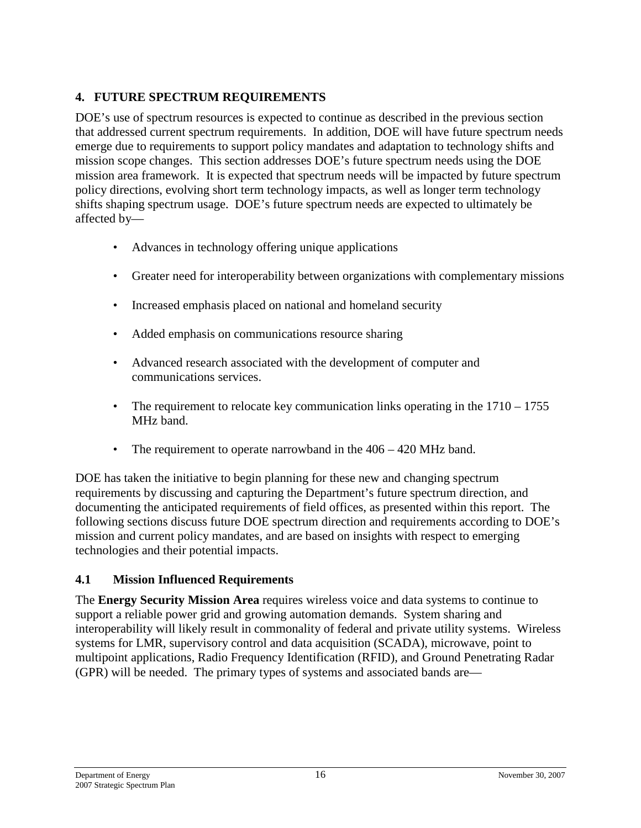# <span id="page-19-0"></span>**4. FUTURE SPECTRUM REQUIREMENTS**

DOE's use of spectrum resources is expected to continue as described in the previous section that addressed current spectrum requirements. In addition, DOE will have future spectrum needs emerge due to requirements to support policy mandates and adaptation to technology shifts and mission scope changes. This section addresses DOE's future spectrum needs using the DOE mission area framework. It is expected that spectrum needs will be impacted by future spectrum policy directions, evolving short term technology impacts, as well as longer term technology shifts shaping spectrum usage. DOE's future spectrum needs are expected to ultimately be affected by—

- Advances in technology offering unique applications
- Greater need for interoperability between organizations with complementary missions
- Increased emphasis placed on national and homeland security
- Added emphasis on communications resource sharing
- Advanced research associated with the development of computer and communications services.
- The requirement to relocate key communication links operating in the  $1710 1755$ MHz band.
- The requirement to operate narrowband in the  $406 420$  MHz band.

DOE has taken the initiative to begin planning for these new and changing spectrum requirements by discussing and capturing the Department's future spectrum direction, and documenting the anticipated requirements of field offices, as presented within this report. The following sections discuss future DOE spectrum direction and requirements according to DOE's mission and current policy mandates, and are based on insights with respect to emerging technologies and their potential impacts.

#### <span id="page-19-1"></span>**4.1 Mission Influenced Requirements**

The **Energy Security Mission Area** requires wireless voice and data systems to continue to support a reliable power grid and growing automation demands. System sharing and interoperability will likely result in commonality of federal and private utility systems. Wireless systems for LMR, supervisory control and data acquisition (SCADA), microwave, point to multipoint applications, Radio Frequency Identification (RFID), and Ground Penetrating Radar (GPR) will be needed. The primary types of systems and associated bands are—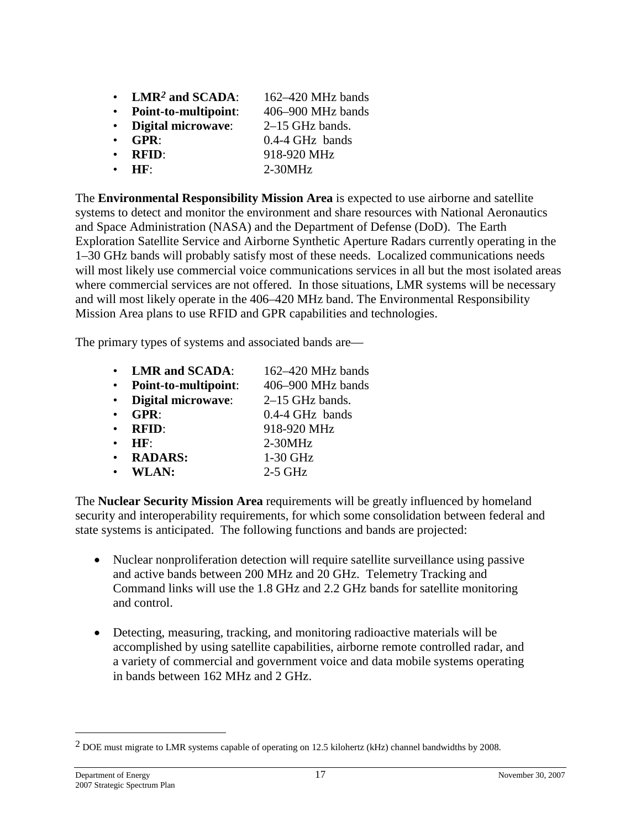- **LMR***[2](#page-20-0)* **and SCADA**: 162–420 MHz bands
- **Point-to-multipoint**: 406–900 MHz bands
- **Digital microwave**: 2–15 GHz bands.
- **GPR**: 0.4-4 GHz bands
- **RFID**: 918-920 MHz
- **HF**: 2-30MHz

The **Environmental Responsibility Mission Area** is expected to use airborne and satellite systems to detect and monitor the environment and share resources with National Aeronautics and Space Administration (NASA) and the Department of Defense (DoD). The Earth Exploration Satellite Service and Airborne Synthetic Aperture Radars currently operating in the 1–30 GHz bands will probably satisfy most of these needs. Localized communications needs will most likely use commercial voice communications services in all but the most isolated areas where commercial services are not offered. In those situations, LMR systems will be necessary and will most likely operate in the 406–420 MHz band. The Environmental Responsibility Mission Area plans to use RFID and GPR capabilities and technologies.

The primary types of systems and associated bands are—

• **LMR and SCADA**: 162–420 MHz bands • **Point-to-multipoint**: 406–900 MHz bands • **Digital microwave**: 2–15 GHz bands. • **GPR**: 0.4-4 GHz bands • **RFID**: 918-920 MHz • **HF**: 2-30MHz • **RADARS:** 1-30 GHz • **WLAN:** 2-5 GHz

The **Nuclear Security Mission Area** requirements will be greatly influenced by homeland security and interoperability requirements, for which some consolidation between federal and state systems is anticipated. The following functions and bands are projected:

- Nuclear nonproliferation detection will require satellite surveillance using passive and active bands between 200 MHz and 20 GHz. Telemetry Tracking and Command links will use the 1.8 GHz and 2.2 GHz bands for satellite monitoring and control.
- Detecting, measuring, tracking, and monitoring radioactive materials will be accomplished by using satellite capabilities, airborne remote controlled radar, and a variety of commercial and government voice and data mobile systems operating in bands between 162 MHz and 2 GHz.

<span id="page-20-0"></span><sup>2</sup> DOE must migrate to LMR systems capable of operating on 12.5 kilohertz (kHz) channel bandwidths by 2008.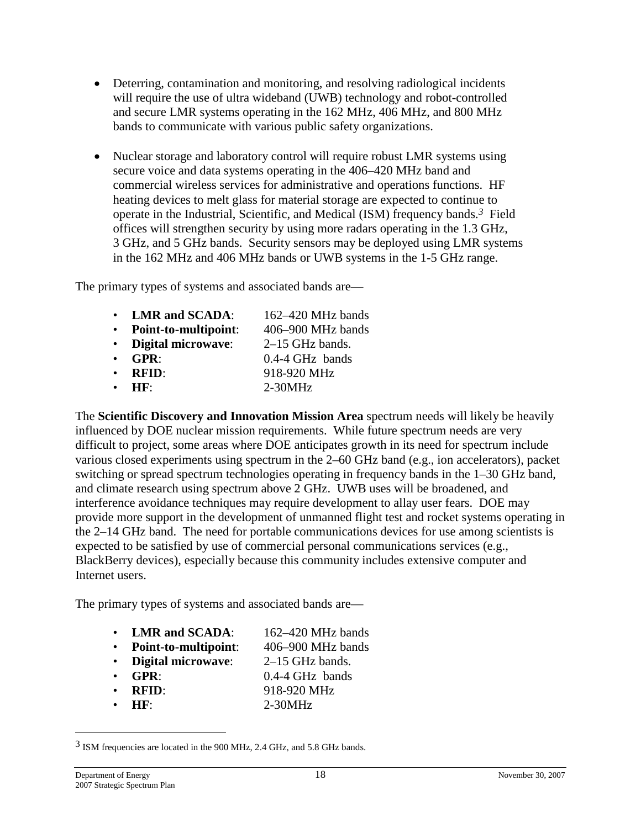- Deterring, contamination and monitoring, and resolving radiological incidents will require the use of ultra wideband (UWB) technology and robot-controlled and secure LMR systems operating in the 162 MHz, 406 MHz, and 800 MHz bands to communicate with various public safety organizations.
- Nuclear storage and laboratory control will require robust LMR systems using secure voice and data systems operating in the 406–420 MHz band and commercial wireless services for administrative and operations functions. HF heating devices to melt glass for material storage are expected to continue to operate in the Industrial, Scientific, and Medical (ISM) frequency bands.*[3](#page-21-0)* Field offices will strengthen security by using more radars operating in the 1.3 GHz, 3 GHz, and 5 GHz bands. Security sensors may be deployed using LMR systems in the 162 MHz and 406 MHz bands or UWB systems in the 1-5 GHz range.

The primary types of systems and associated bands are—

|           | • LMR and SCADA:     | $162 - 420$ MHz bands |
|-----------|----------------------|-----------------------|
|           | Point-to-multipoint: | 406–900 MHz bands     |
|           | • Digital microwave: | $2-15$ GHz bands.     |
|           | $\cdot$ GPR:         | $0.4-4$ GHz bands     |
|           | $\cdot$ RFID:        | 918-920 MHz           |
| $\bullet$ | HF:                  | $2-30MHz$             |

The **Scientific Discovery and Innovation Mission Area** spectrum needs will likely be heavily influenced by DOE nuclear mission requirements. While future spectrum needs are very difficult to project, some areas where DOE anticipates growth in its need for spectrum include various closed experiments using spectrum in the 2–60 GHz band (e.g., ion accelerators), packet switching or spread spectrum technologies operating in frequency bands in the 1–30 GHz band, and climate research using spectrum above 2 GHz. UWB uses will be broadened, and interference avoidance techniques may require development to allay user fears. DOE may provide more support in the development of unmanned flight test and rocket systems operating in the 2–14 GHz band. The need for portable communications devices for use among scientists is expected to be satisfied by use of commercial personal communications services (e.g., BlackBerry devices), especially because this community includes extensive computer and Internet users.

The primary types of systems and associated bands are—

- **LMR and SCADA**: 162–420 MHz bands
- **Point-to-multipoint**: 406–900 MHz bands
- **Digital microwave**: 2–15 GHz bands.
- 
- **GPR**: 0.4-4 GHz bands
- **RFID**: 918-920 MHz
- **HF**: 2-30MHz

<span id="page-21-0"></span><sup>3</sup> ISM frequencies are located in the 900 MHz, 2.4 GHz, and 5.8 GHz bands.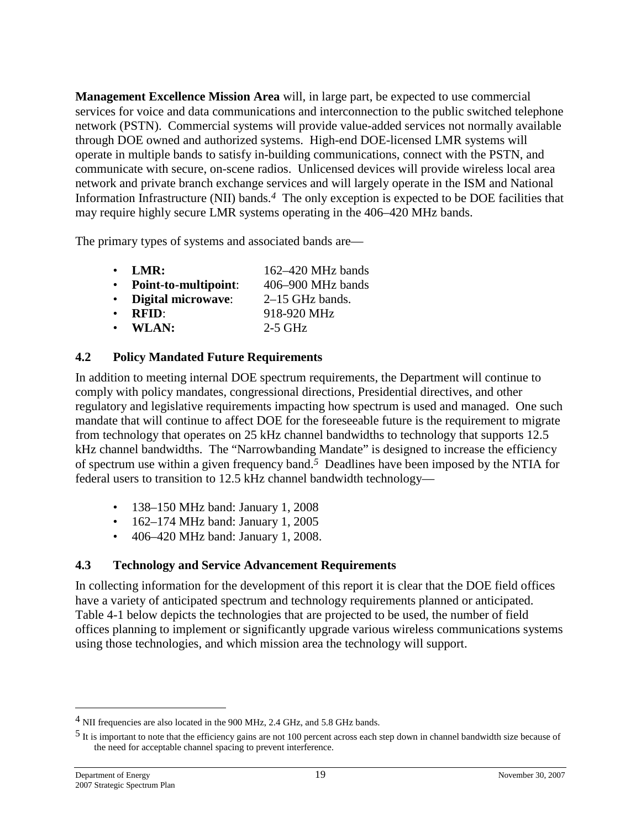**Management Excellence Mission Area** will, in large part, be expected to use commercial services for voice and data communications and interconnection to the public switched telephone network (PSTN). Commercial systems will provide value-added services not normally available through DOE owned and authorized systems. High-end DOE-licensed LMR systems will operate in multiple bands to satisfy in-building communications, connect with the PSTN, and communicate with secure, on-scene radios. Unlicensed devices will provide wireless local area network and private branch exchange services and will largely operate in the ISM and National Information Infrastructure (NII) bands.*[4](#page-22-2)* The only exception is expected to be DOE facilities that may require highly secure LMR systems operating in the 406–420 MHz bands.

The primary types of systems and associated bands are—

| $\bullet$   | LMR:                      | $162 - 420$ MHz bands |
|-------------|---------------------------|-----------------------|
|             | Point-to-multipoint:      | 406–900 MHz bands     |
| $\bullet$ . | <b>Digital microwave:</b> | $2-15$ GHz bands.     |
| $\bullet$   | <b>RFID:</b>              | 918-920 MHz           |
|             | $\bullet$ WLAN:           | $2-5$ GHz             |
|             |                           |                       |

#### <span id="page-22-0"></span>**4.2 Policy Mandated Future Requirements**

In addition to meeting internal DOE spectrum requirements, the Department will continue to comply with policy mandates, congressional directions, Presidential directives, and other regulatory and legislative requirements impacting how spectrum is used and managed. One such mandate that will continue to affect DOE for the foreseeable future is the requirement to migrate from technology that operates on 25 kHz channel bandwidths to technology that supports 12.5 kHz channel bandwidths. The "Narrowbanding Mandate" is designed to increase the efficiency of spectrum use within a given frequencyband.*5* Deadlines have been imposed by the NTIA for federal users to transition to 12.5 kHz channel bandwidth technology—

- 138–150 MHz band: January 1, 2008
- 162–174 MHz band: January 1, 2005
- <span id="page-22-1"></span>• 406–420 MHz band: January 1, 2008.

#### **4.3 Technology and Service Advancement Requirements**

In collecting information for the development of this report it is clear that the DOE field offices have a variety of anticipated spectrum and technology requirements planned or anticipated. Table 4-1 below depicts the technologies that are projected to be used, the number of field offices planning to implement or significantly upgrade various wireless communications systems using those technologies, and which mission area the technology will support.

<span id="page-22-3"></span><span id="page-22-2"></span><sup>4</sup> NII frequencies are also located in the 900 MHz, 2.4 GHz, and 5.8 GHz bands.

<sup>5</sup> It is important to note that the efficiency gains are not 100 percent across each step down in channel bandwidth size because of the need for acceptable channel spacing to prevent interference.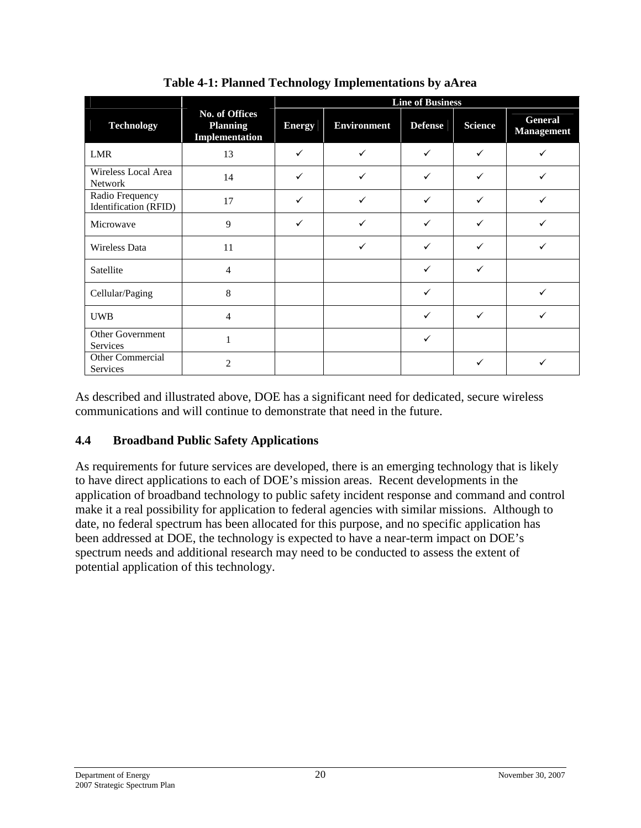|                                            |                                                     | <b>Line of Business</b> |                    |                |                |                              |  |
|--------------------------------------------|-----------------------------------------------------|-------------------------|--------------------|----------------|----------------|------------------------------|--|
| <b>Technology</b>                          | No. of Offices<br><b>Planning</b><br>Implementation | <b>Energy</b>           | <b>Environment</b> | <b>Defense</b> | <b>Science</b> | General<br><b>Management</b> |  |
| LMR                                        | 13                                                  | $\checkmark$            | ✓                  | ✓              | $\checkmark$   |                              |  |
| Wireless Local Area<br><b>Network</b>      | 14                                                  | $\checkmark$            | ✓                  | ✓              | ✓              |                              |  |
| Radio Frequency<br>Identification (RFID)   | 17                                                  | $\checkmark$            | ✓                  | ✓              | $\checkmark$   | ✓                            |  |
| Microwave                                  | 9                                                   | $\checkmark$            | ✓                  | ✓              | ✓              |                              |  |
| <b>Wireless Data</b>                       | 11                                                  |                         | ✓                  | ✓              | ✓              |                              |  |
| Satellite                                  | 4                                                   |                         |                    | ✓              | ✓              |                              |  |
| Cellular/Paging                            | 8                                                   |                         |                    | ✓              |                |                              |  |
| <b>UWB</b>                                 | 4                                                   |                         |                    | ✓              | ✓              |                              |  |
| <b>Other Government</b><br><b>Services</b> |                                                     |                         |                    | $\checkmark$   |                |                              |  |
| Other Commercial<br><b>Services</b>        | $\mathfrak{D}$                                      |                         |                    |                | ✓              |                              |  |

**Table 4-1: Planned Technology Implementations by aArea**

As described and illustrated above, DOE has a significant need for dedicated, secure wireless communications and will continue to demonstrate that need in the future.

# <span id="page-23-0"></span>**4.4 Broadband Public Safety Applications**

As requirements for future services are developed, there is an emerging technology that is likely to have direct applications to each of DOE's mission areas. Recent developments in the application of broadband technology to public safety incident response and command and control make it a real possibility for application to federal agencies with similar missions. Although to date, no federal spectrum has been allocated for this purpose, and no specific application has been addressed at DOE, the technology is expected to have a near-term impact on DOE's spectrum needs and additional research may need to be conducted to assess the extent of potential application of this technology.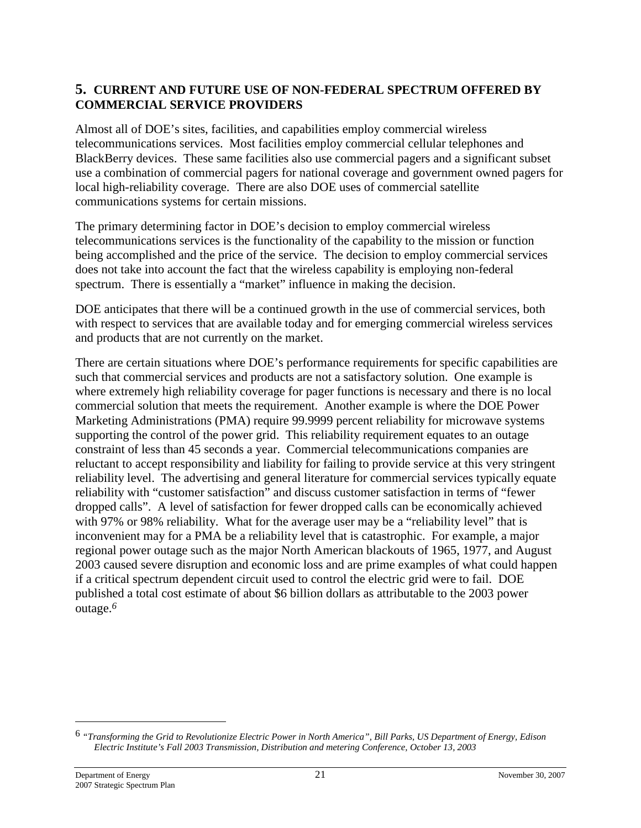#### <span id="page-24-0"></span>**5. CURRENT AND FUTURE USE OF NON-FEDERAL SPECTRUM OFFERED BY COMMERCIAL SERVICE PROVIDERS**

Almost all of DOE's sites, facilities, and capabilities employ commercial wireless telecommunications services. Most facilities employ commercial cellular telephones and BlackBerry devices. These same facilities also use commercial pagers and a significant subset use a combination of commercial pagers for national coverage and government owned pagers for local high-reliability coverage. There are also DOE uses of commercial satellite communications systems for certain missions.

The primary determining factor in DOE's decision to employ commercial wireless telecommunications services is the functionality of the capability to the mission or function being accomplished and the price of the service. The decision to employ commercial services does not take into account the fact that the wireless capability is employing non-federal spectrum. There is essentially a "market" influence in making the decision.

DOE anticipates that there will be a continued growth in the use of commercial services, both with respect to services that are available today and for emerging commercial wireless services and products that are not currently on the market.

There are certain situations where DOE's performance requirements for specific capabilities are such that commercial services and products are not a satisfactory solution. One example is where extremely high reliability coverage for pager functions is necessary and there is no local commercial solution that meets the requirement. Another example is where the DOE Power Marketing Administrations (PMA) require 99.9999 percent reliability for microwave systems supporting the control of the power grid. This reliability requirement equates to an outage constraint of less than 45 seconds a year. Commercial telecommunications companies are reluctant to accept responsibility and liability for failing to provide service at this very stringent reliability level. The advertising and general literature for commercial services typically equate reliability with "customer satisfaction" and discuss customer satisfaction in terms of "fewer dropped calls". A level of satisfaction for fewer dropped calls can be economically achieved with 97% or 98% reliability. What for the average user may be a "reliability level" that is inconvenient may for a PMA be a reliability level that is catastrophic. For example, a major regional power outage such as the major North American blackouts of 1965, 1977, and August 2003 caused severe disruption and economic loss and are prime examples of what could happen if a critical spectrum dependent circuit used to control the electric grid were to fail. DOE published a total cost estimate of about \$6 billion dollars as attributable to the 2003 power outage.*[6](#page-24-1)*

<span id="page-24-1"></span><sup>6</sup> *"Transforming the Grid to Revolutionize Electric Power in North America", Bill Parks, US Department of Energy, Edison Electric Institute's Fall 2003 Transmission, Distribution and metering Conference, October 13, 2003*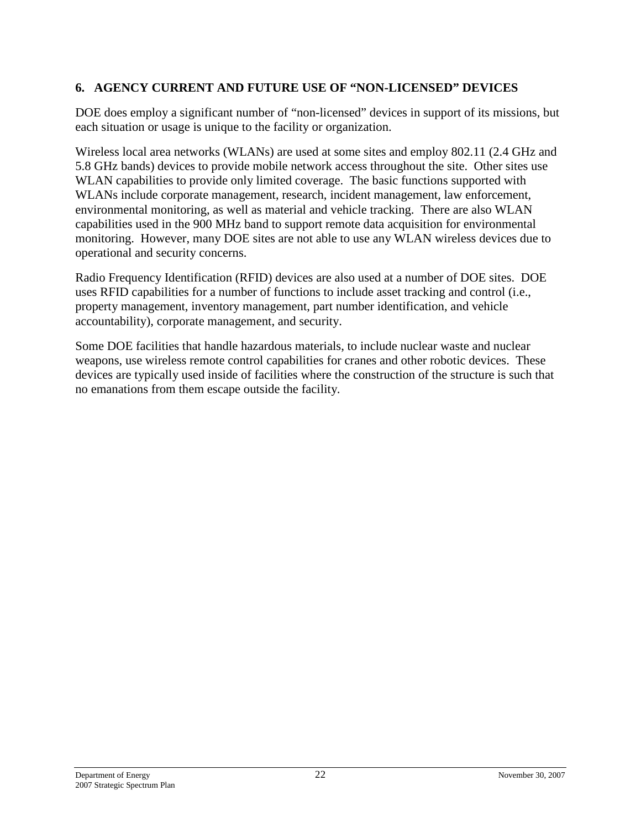## <span id="page-25-0"></span>**6. AGENCY CURRENT AND FUTURE USE OF "NON-LICENSED" DEVICES**

DOE does employ a significant number of "non-licensed" devices in support of its missions, but each situation or usage is unique to the facility or organization.

Wireless local area networks (WLANs) are used at some sites and employ 802.11 (2.4 GHz and 5.8 GHz bands) devices to provide mobile network access throughout the site. Other sites use WLAN capabilities to provide only limited coverage. The basic functions supported with WLANs include corporate management, research, incident management, law enforcement, environmental monitoring, as well as material and vehicle tracking. There are also WLAN capabilities used in the 900 MHz band to support remote data acquisition for environmental monitoring. However, many DOE sites are not able to use any WLAN wireless devices due to operational and security concerns.

Radio Frequency Identification (RFID) devices are also used at a number of DOE sites. DOE uses RFID capabilities for a number of functions to include asset tracking and control (i.e., property management, inventory management, part number identification, and vehicle accountability), corporate management, and security.

Some DOE facilities that handle hazardous materials, to include nuclear waste and nuclear weapons, use wireless remote control capabilities for cranes and other robotic devices. These devices are typically used inside of facilities where the construction of the structure is such that no emanations from them escape outside the facility.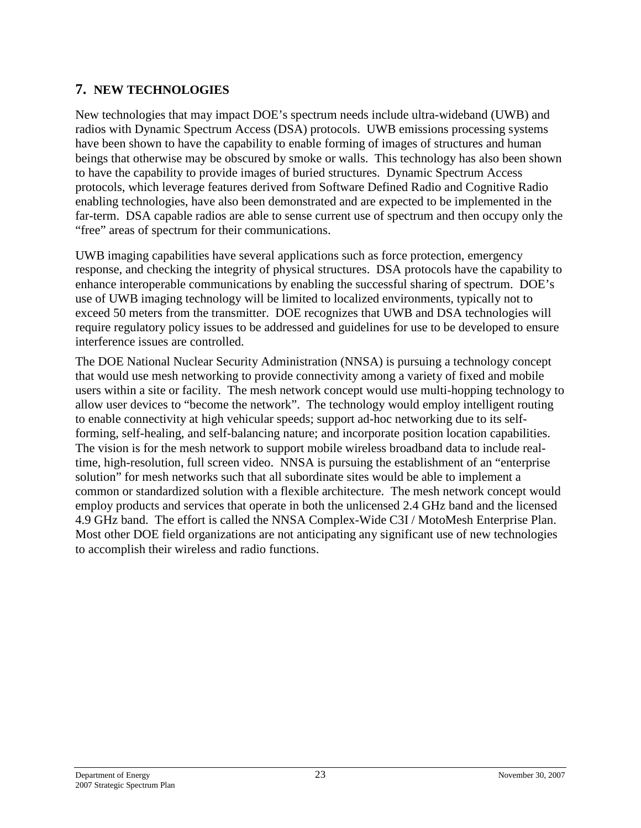# <span id="page-26-0"></span>**7. NEW TECHNOLOGIES**

New technologies that may impact DOE's spectrum needs include ultra-wideband (UWB) and radios with Dynamic Spectrum Access (DSA) protocols. UWB emissions processing systems have been shown to have the capability to enable forming of images of structures and human beings that otherwise may be obscured by smoke or walls. This technology has also been shown to have the capability to provide images of buried structures. Dynamic Spectrum Access protocols, which leverage features derived from Software Defined Radio and Cognitive Radio enabling technologies, have also been demonstrated and are expected to be implemented in the far-term. DSA capable radios are able to sense current use of spectrum and then occupy only the "free" areas of spectrum for their communications.

UWB imaging capabilities have several applications such as force protection, emergency response, and checking the integrity of physical structures. DSA protocols have the capability to enhance interoperable communications by enabling the successful sharing of spectrum. DOE's use of UWB imaging technology will be limited to localized environments, typically not to exceed 50 meters from the transmitter. DOE recognizes that UWB and DSA technologies will require regulatory policy issues to be addressed and guidelines for use to be developed to ensure interference issues are controlled.

The DOE National Nuclear Security Administration (NNSA) is pursuing a technology concept that would use mesh networking to provide connectivity among a variety of fixed and mobile users within a site or facility. The mesh network concept would use multi-hopping technology to allow user devices to "become the network". The technology would employ intelligent routing to enable connectivity at high vehicular speeds; support ad-hoc networking due to its selfforming, self-healing, and self-balancing nature; and incorporate position location capabilities. The vision is for the mesh network to support mobile wireless broadband data to include realtime, high-resolution, full screen video. NNSA is pursuing the establishment of an "enterprise solution" for mesh networks such that all subordinate sites would be able to implement a common or standardized solution with a flexible architecture. The mesh network concept would employ products and services that operate in both the unlicensed 2.4 GHz band and the licensed 4.9 GHz band. The effort is called the NNSA Complex-Wide C3I / MotoMesh Enterprise Plan. Most other DOE field organizations are not anticipating any significant use of new technologies to accomplish their wireless and radio functions.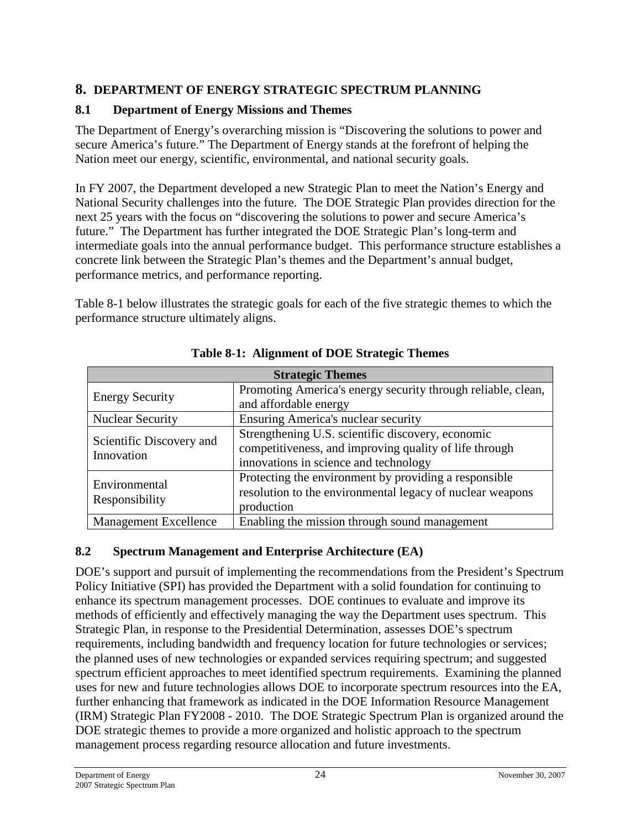# <span id="page-27-0"></span>**8. DEPARTMENT OF ENERGY STRATEGIC SPECTRUM PLANNING**

## <span id="page-27-1"></span>**8.1 Department of Energy Missions and Themes**

The Department of Energy's overarching mission is "Discovering the solutions to power and secure America's future." The Department of Energy stands at the forefront of helping the Nation meet our energy, scientific, environmental, and national security goals.

In FY 2007, the Department developed a new Strategic Plan to meet the Nation's Energy and National Security challenges into the future. The DOE Strategic Plan provides direction for the next 25 years with the focus on "discovering the solutions to power and secure America's future." The Department has further integrated the DOE Strategic Plan's long-term and intermediate goals into the annual performance budget. This performance structure establishes a concrete link between the Strategic Plan's themes and the Department's annual budget, performance metrics, and performance reporting.

Table 8-1 below illustrates the strategic goals for each of the five strategic themes to which the performance structure ultimately aligns.

| <b>Strategic Themes</b>                |                                                              |  |  |  |
|----------------------------------------|--------------------------------------------------------------|--|--|--|
| <b>Energy Security</b>                 | Promoting America's energy security through reliable, clean, |  |  |  |
|                                        | and affordable energy                                        |  |  |  |
| <b>Nuclear Security</b>                | <b>Ensuring America's nuclear security</b>                   |  |  |  |
|                                        | Strengthening U.S. scientific discovery, economic            |  |  |  |
| Scientific Discovery and<br>Innovation | competitiveness, and improving quality of life through       |  |  |  |
|                                        | innovations in science and technology                        |  |  |  |
| Environmental                          | Protecting the environment by providing a responsible        |  |  |  |
| Responsibility                         | resolution to the environmental legacy of nuclear weapons    |  |  |  |
|                                        | production                                                   |  |  |  |
| <b>Management Excellence</b>           | Enabling the mission through sound management                |  |  |  |

#### **Table 8-1: Alignment of DOE Strategic Themes**

#### <span id="page-27-2"></span>**8.2 Spectrum Management and Enterprise Architecture (EA)**

DOE's support and pursuit of implementing the recommendations from the President's Spectrum Policy Initiative (SPI) has provided the Department with a solid foundation for continuing to enhance its spectrum management processes. DOE continues to evaluate and improve its methods of efficiently and effectively managing the way the Department uses spectrum. This Strategic Plan, in response to the Presidential Determination, assesses DOE's spectrum requirements, including bandwidth and frequency location for future technologies or services; the planned uses of new technologies or expanded services requiring spectrum; and suggested spectrum efficient approaches to meet identified spectrum requirements. Examining the planned uses for new and future technologies allows DOE to incorporate spectrum resources into the EA, further enhancing that framework as indicated in the DOE Information Resource Management (IRM) Strategic Plan FY2008 - 2010. The DOE Strategic Spectrum Plan is organized around the DOE strategic themes to provide a more organized and holistic approach to the spectrum management process regarding resource allocation and future investments.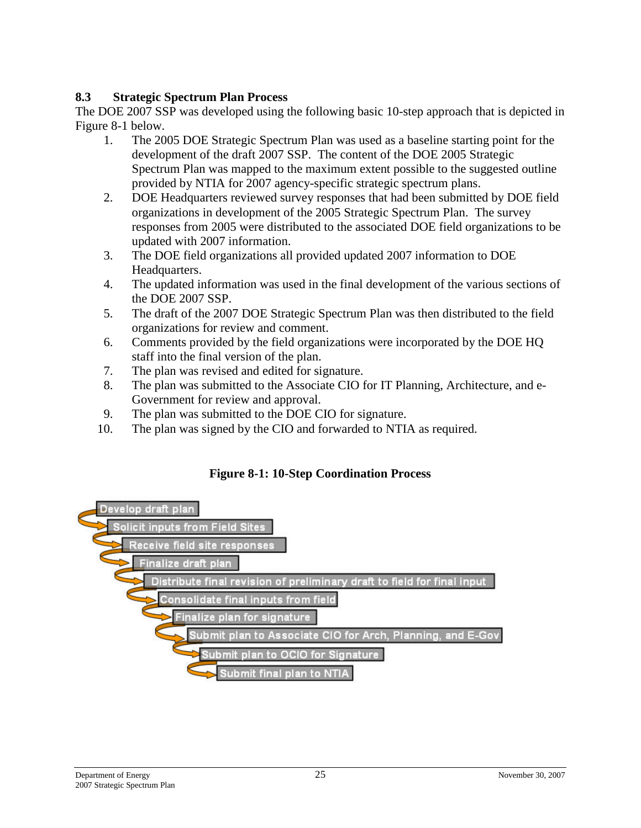## <span id="page-28-0"></span>**8.3 Strategic Spectrum Plan Process**

The DOE 2007 SSP was developed using the following basic 10-step approach that is depicted in Figure 8-1 below.

- 1. The 2005 DOE Strategic Spectrum Plan was used as a baseline starting point for the development of the draft 2007 SSP. The content of the DOE 2005 Strategic Spectrum Plan was mapped to the maximum extent possible to the suggested outline provided by NTIA for 2007 agency-specific strategic spectrum plans.
- 2. DOE Headquarters reviewed survey responses that had been submitted by DOE field organizations in development of the 2005 Strategic Spectrum Plan. The survey responses from 2005 were distributed to the associated DOE field organizations to be updated with 2007 information.
- 3. The DOE field organizations all provided updated 2007 information to DOE Headquarters.
- 4. The updated information was used in the final development of the various sections of the DOE 2007 SSP.
- 5. The draft of the 2007 DOE Strategic Spectrum Plan was then distributed to the field organizations for review and comment.
- 6. Comments provided by the field organizations were incorporated by the DOE HQ staff into the final version of the plan.
- 7. The plan was revised and edited for signature.
- 8. The plan was submitted to the Associate CIO for IT Planning, Architecture, and e-Government for review and approval.
- 9. The plan was submitted to the DOE CIO for signature.
- 10. The plan was signed by the CIO and forwarded to NTIA as required.

#### **Figure 8-1: 10-Step Coordination Process**

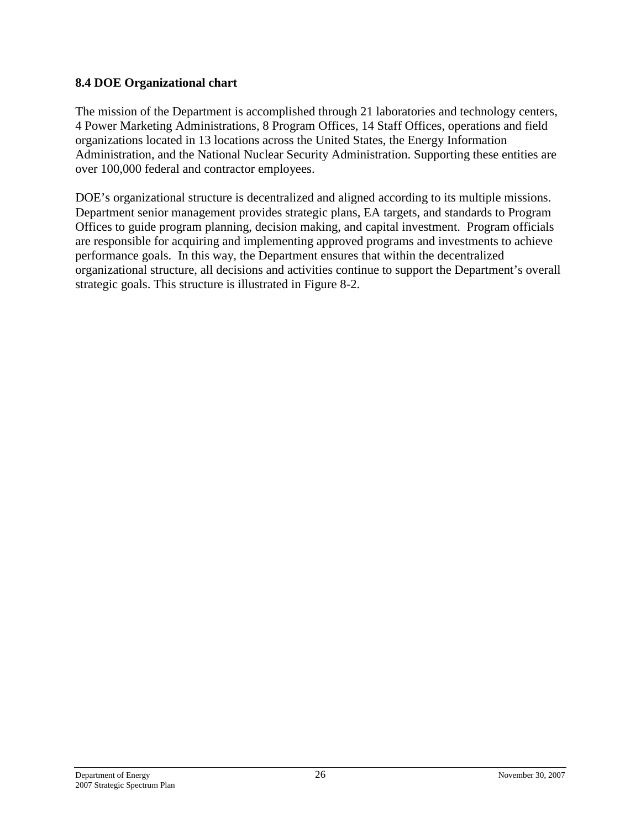#### <span id="page-29-0"></span>**8.4 DOE Organizational chart**

The mission of the Department is accomplished through 21 laboratories and technology centers, 4 Power Marketing Administrations, 8 Program Offices, 14 Staff Offices, operations and field organizations located in 13 locations across the United States, the Energy Information Administration, and the National Nuclear Security Administration. Supporting these entities are over 100,000 federal and contractor employees.

DOE's organizational structure is decentralized and aligned according to its multiple missions. Department senior management provides strategic plans, EA targets, and standards to Program Offices to guide program planning, decision making, and capital investment. Program officials are responsible for acquiring and implementing approved programs and investments to achieve performance goals. In this way, the Department ensures that within the decentralized organizational structure, all decisions and activities continue to support the Department's overall strategic goals. This structure is illustrated in Figure 8-2.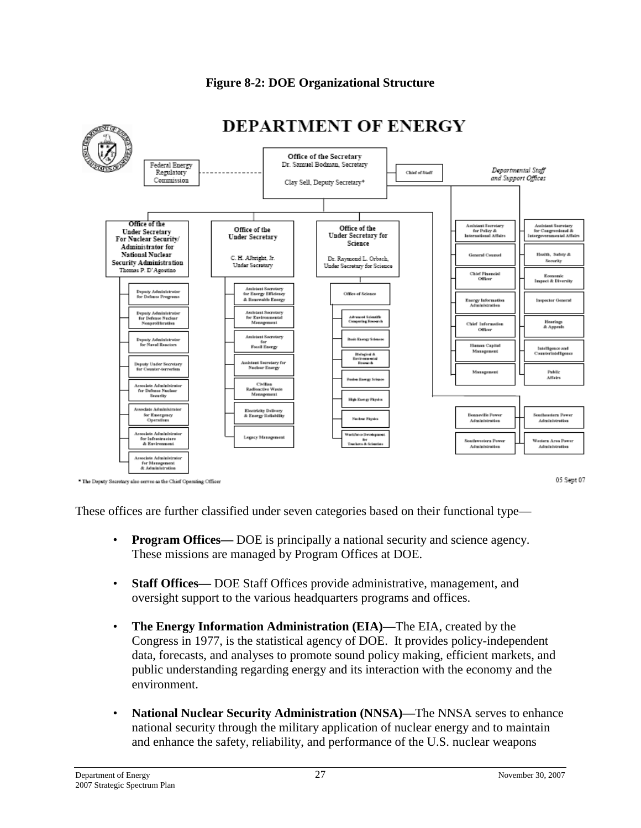

#### **Figure 8-2: DOE Organizational Structure**

\* The Deputy Secretary also serves as the Chief Operating Officer

05 Sept 07

These offices are further classified under seven categories based on their functional type—

- **Program Offices—** DOE is principally a national security and science agency. These missions are managed by Program Offices at DOE.
- **Staff Offices—** DOE Staff Offices provide administrative, management, and oversight support to the various headquarters programs and offices.
- **The Energy Information Administration (EIA)—**The EIA, created by the Congress in 1977, is the statistical agency of DOE. It provides policy-independent data, forecasts, and analyses to promote sound policy making, efficient markets, and public understanding regarding energy and its interaction with the economy and the environment.
- **National Nuclear Security Administration (NNSA)—**The NNSA serves to enhance national security through the military application of nuclear energy and to maintain and enhance the safety, reliability, and performance of the U.S. nuclear weapons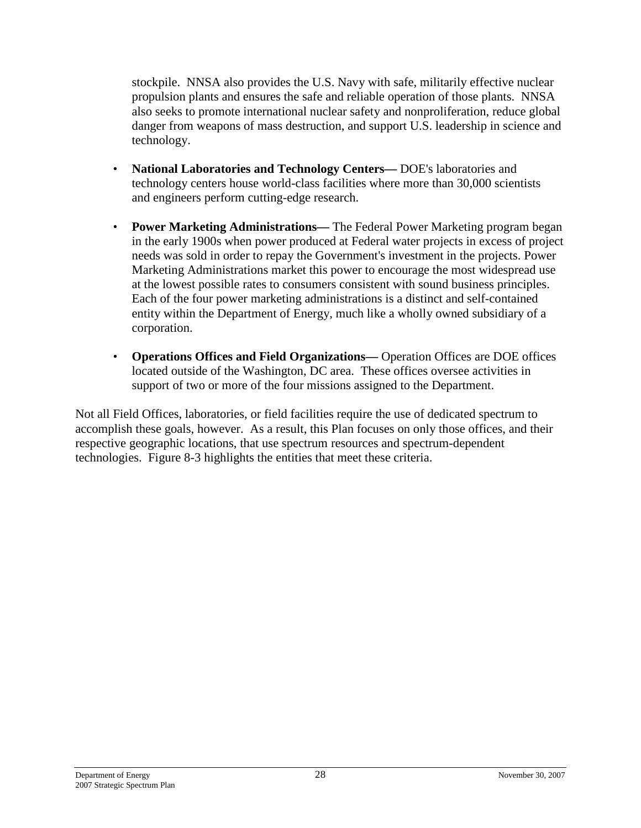stockpile. NNSA also provides the U.S. Navy with safe, militarily effective nuclear propulsion plants and ensures the safe and reliable operation of those plants. NNSA also seeks to promote international nuclear safety and nonproliferation, reduce global danger from weapons of mass destruction, and support U.S. leadership in science and technology.

- **National Laboratories and Technology Centers—** DOE's laboratories and technology centers house world-class facilities where more than 30,000 scientists and engineers perform cutting-edge research.
- **Power Marketing Administrations—** The Federal Power Marketing program began in the early 1900s when power produced at Federal water projects in excess of project needs was sold in order to repay the Government's investment in the projects. Power Marketing Administrations market this power to encourage the most widespread use at the lowest possible rates to consumers consistent with sound business principles. Each of the four power marketing administrations is a distinct and self-contained entity within the Department of Energy, much like a wholly owned subsidiary of a corporation.
- **Operations Offices and Field Organizations—** Operation Offices are DOE offices located outside of the Washington, DC area. These offices oversee activities in support of two or more of the four missions assigned to the Department.

Not all Field Offices, laboratories, or field facilities require the use of dedicated spectrum to accomplish these goals, however. As a result, this Plan focuses on only those offices, and their respective geographic locations, that use spectrum resources and spectrum-dependent technologies. Figure 8-3 highlights the entities that meet these criteria.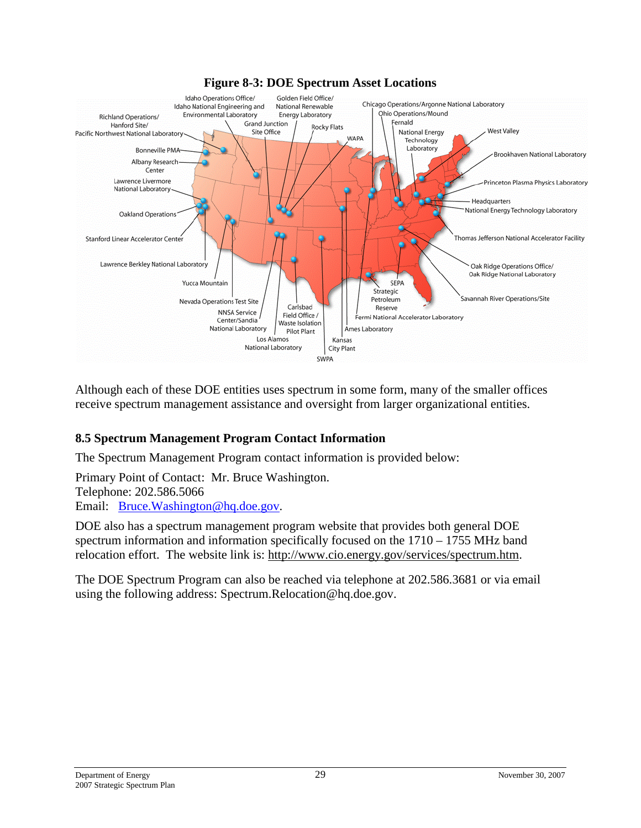

#### **Figure 8-3: DOE Spectrum Asset Locations**

Although each of these DOE entities uses spectrum in some form, many of the smaller offices receive spectrum management assistance and oversight from larger organizational entities.

#### <span id="page-32-0"></span>**8.5 Spectrum Management Program Contact Information**

The Spectrum Management Program contact information is provided below:

Primary Point of Contact: Mr. Bruce Washington. Telephone: 202.586.5066

Email: [Bruce.Washington@hq.doe.gov](mailto:Bruce.Washington@hq.doe.gov).

DOE also has a spectrum management program website that provides both general DOE spectrum information and information specifically focused on the 1710 – 1755 MHz band relocation effort. The website link is: [http://www.cio.energy.gov/services/spectrum.htm.](http://www.cio.energy.gov/services/spectrum.htm)

The DOE Spectrum Program can also be reached via telephone at 202.586.3681 or via email using the following address: Spectrum.Relocation@hq.doe.gov.